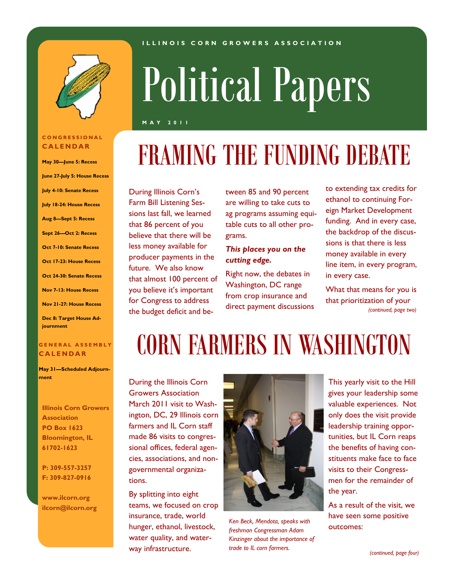#### **I L L I N O I S C O R N G R O W E R S A S S O C I A T I O N**



#### **C O N G R E S S I O N A L C A L E N D A R**

**May 30—June 5: Recess June 27-July 5: House Recess July 4-10: Senate Recess July 18-24: House Recess Aug 8—Sept 5: Recess Sept 26—Oct 2: Recess Oct 7-10: Senate Recess Oct 17-23: House Recess Oct 24-30: Senate Recess Nov 7-13: House Recess Nov 21-27: House Recess Dec 8: Target House Adjournment**

#### **G E N E R A L A S S E M B L Y C A L E N D A R**

**May 31—Scheduled Adjournment**

**Illinois Corn Growers Association PO Box 1623 Bloomington, IL 61702-1623**

**P: 309-557-3257 F: 309-827-0916**

**www.ilcorn.org ilcorn@ilcorn.org**

# Political Papers

**M A Y 2 0 1 1**

# FRAMING THE FUNDING DEBATE

During Illinois Corn's Farm Bill Listening Sessions last fall, we learned that 86 percent of you believe that there will be less money available for producer payments in the future. We also know that almost 100 percent of you believe it's important for Congress to address the budget deficit and between 85 and 90 percent are willing to take cuts to ag programs assuming equitable cuts to all other programs.

#### *This places you on the cutting edge.*

Right now, the debates in Washington, DC range from crop insurance and direct payment discussions to extending tax credits for ethanol to continuing Foreign Market Development funding. And in every case, the backdrop of the discussions is that there is less money available in every line item, in every program, in every case.

What that means for you is that prioritization of your *(continued, page two)* 

### CORN FARMERS IN WASHINGTON

During the Illinois Corn Growers Association March 2011 visit to Washington, DC, 29 Illinois corn farmers and IL Corn staff made 86 visits to congressional offices, federal agencies, associations, and nongovernmental organizations.

By splitting into eight teams, we focused on crop insurance, trade, world hunger, ethanol, livestock, water quality, and waterway infrastructure.



*Ken Beck, Mendota, speaks with freshman Congressman Adam Kinzinger about the importance of trade to IL corn farmers.*

This yearly visit to the Hill gives your leadership some valuable experiences. Not only does the visit provide leadership training opportunities, but IL Corn reaps the benefits of having constituents make face to face visits to their Congressmen for the remainder of the year.

As a result of the visit, we have seen some positive outcomes: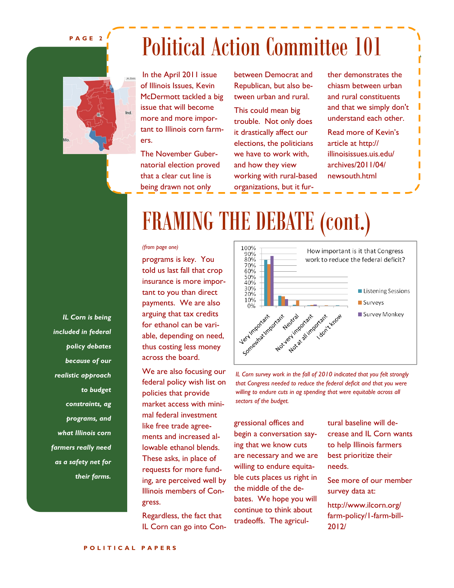#### **P A G E 2**

### Political Action Committee 101



In the April 2011 issue of Illinois Issues, Kevin McDermott tackled a big issue that will become more and more important to Illinois corn farmers.

The November Gubernatorial election proved that a clear cut line is being drawn not only

between Democrat and Republican, but also between urban and rural.

This could mean big trouble. Not only does it drastically affect our elections, the politicians we have to work with, and how they view working with rural-based organizations, but it further demonstrates the chiasm between urban and rural constituents and that we simply don't understand each other. Read more of Kevin's

article at http:// illinoisissues.uis.edu/ archives/2011/04/ newsouth.html

### FRAMING THE DEBATE (cont.)

#### *(from page one)*

programs is key. You told us last fall that crop insurance is more important to you than direct payments. We are also arguing that tax credits for ethanol can be variable, depending on need, thus costing less money across the board.

We are also focusing our federal policy wish list on policies that provide market access with minimal federal investment like free trade agreements and increased allowable ethanol blends. These asks, in place of requests for more funding, are perceived well by Illinois members of Congress.

Regardless, the fact that IL Corn can go into Con-



*IL Corn survey work in the fall of 2010 indicated that you felt strongly that Congress needed to reduce the federal deficit and that you were willing to endure cuts in ag spending that were equitable across all sectors of the budget.*

gressional offices and begin a conversation saying that we know cuts are necessary and we are willing to endure equitable cuts places us right in the middle of the debates. We hope you will continue to think about tradeoffs. The agricultural baseline will decrease and IL Corn wants to help Illinois farmers best prioritize their needs.

See more of our member survey data at:

http://www.ilcorn.org/ farm-policy/1-farm-bill-2012/

*IL Corn is being included in federal policy debates because of our realistic approach to budget constraints, ag programs, and what Illinois corn farmers really need as a safety net for their farms.*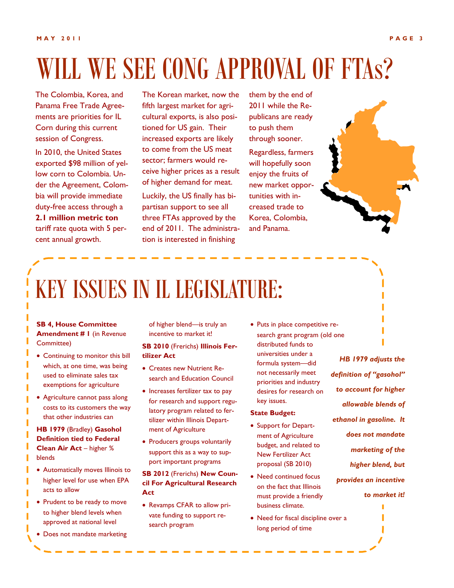# WILL WE SEE CONG APPROVAL OF FTAS?

The Colombia, Korea, and Panama Free Trade Agreements are priorities for IL Corn during this current session of Congress.

In 2010, the United States exported \$98 million of yellow corn to Colombia. Under the Agreement, Colombia will provide immediate duty-free access through a **2.1 million metric ton**  tariff rate quota with 5 percent annual growth.

The Korean market, now the fifth largest market for agricultural exports, is also positioned for US gain. Their increased exports are likely to come from the US meat sector; farmers would receive higher prices as a result of higher demand for meat. Luckily, the US finally has bipartisan support to see all three FTAs approved by the end of 2011. The administration is interested in finishing

them by the end of 2011 while the Republicans are ready to push them through sooner.

Regardless, farmers will hopefully soon enjoy the fruits of new market opportunities with increased trade to Korea, Colombia, and Panama.



### KEY ISSUES IN IL LEGISLATURE:

#### **SB 4, House Committee Amendment # 1** (in Revenue Committee)

- Continuing to monitor this bill which, at one time, was being used to eliminate sales tax exemptions for agriculture
- Agriculture cannot pass along costs to its customers the way that other industries can

**HB 1979** (Bradley) **Gasohol Definition tied to Federal Clean Air Act** – higher % blends

- Automatically moves Illinois to higher level for use when EPA acts to allow
- Prudent to be ready to move to higher blend levels when approved at national level
- Does not mandate marketing

of higher blend—is truly an incentive to market it!

#### **SB 2010** (Frerichs) **Illinois Fertilizer Act**

- Creates new Nutrient Research and Education Council
- Increases fertilizer tax to pay for research and support regulatory program related to fertilizer within Illinois Department of Agriculture
- Producers groups voluntarily support this as a way to support important programs

#### **SB 2012** (Frerichs) **New Council For Agricultural Research Act**

• Revamps CFAR to allow private funding to support research program

• Puts in place competitive research grant program (old one distributed funds to universities under a formula system—did not necessarily meet priorities and industry desires for research on key issues.

#### **State Budget:**

- Support for Department of Agriculture budget, and related to New Fertilizer Act proposal (SB 2010)
- Need continued focus on the fact that Illinois must provide a friendly business climate.
- Need for fiscal discipline over a long period of time

*HB 1979 adjusts the definition of "gasohol" to account for higher allowable blends of ethanol in gasoline. It does not mandate marketing of the higher blend, but provides an incentive to market it!*